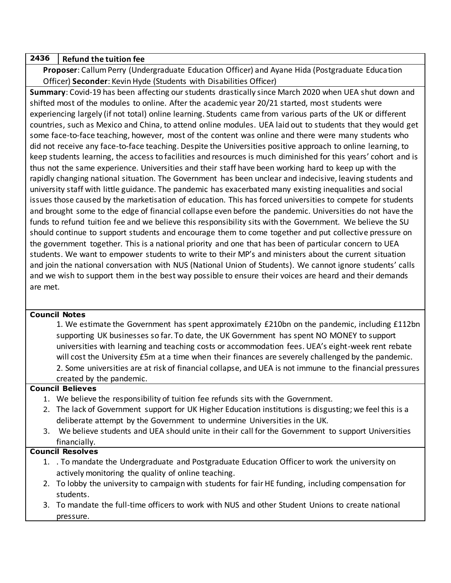## **2436 Refund the tuition fee**

**Proposer**: Callum Perry (Undergraduate Education Officer) and Ayane Hida (Postgraduate Education Officer) **Seconder**: Kevin Hyde (Students with Disabilities Officer)

**Summary**: Covid-19 has been affecting our students drastically since March 2020 when UEA shut down and shifted most of the modules to online. After the academic year 20/21 started, most students were experiencing largely (if not total) online learning. Students came from various parts of the UK or different countries, such as Mexico and China, to attend online modules. UEA laid out to students that they would get some face-to-face teaching, however, most of the content was online and there were many students who did not receive any face-to-face teaching. Despite the Universities positive approach to online learning, to keep students learning, the access to facilities and resources is much diminished for this years' cohort and is thus not the same experience. Universities and their staff have been working hard to keep up with the rapidly changing national situation. The Government has been unclear and indecisive, leaving students and university staff with little guidance. The pandemic has exacerbated many existing inequalities and social issues those caused by the marketisation of education. This has forced universities to compete for students and brought some to the edge of financial collapse even before the pandemic. Universities do not have the funds to refund tuition fee and we believe this responsibility sits with the Government. We believe the SU should continue to support students and encourage them to come together and put collective pressure on the government together. This is a national priority and one that has been of particular concern to UEA students. We want to empower students to write to their MP's and ministers about the current situation and join the national conversation with NUS (National Union of Students). We cannot ignore students' calls and we wish to support them in the best way possible to ensure their voices are heard and their demands are met.

## **Council Notes**

1. We estimate the Government has spent approximately £210bn on the pandemic, including £112bn supporting UK businesses so far. To date, the UK Government has spent NO MONEY to support universities with learning and teaching costs or accommodation fees. UEA's eight-week rent rebate will cost the University £5m at a time when their finances are severely challenged by the pandemic. 2. Some universities are at risk of financial collapse, and UEA is not immune to the financial pressures created by the pandemic.

## **Council Believes**

- 1. We believe the responsibility of tuition fee refunds sits with the Government.
- 2. The lack of Government support for UK Higher Education institutions is disgusting; we feel this is a deliberate attempt by the Government to undermine Universities in the UK.
- 3. We believe students and UEA should unite in their call for the Government to support Universities financially.

## **Council Resolves**

- 1. . To mandate the Undergraduate and Postgraduate Education Officer to work the university on actively monitoring the quality of online teaching.
- 2. To lobby the university to campaign with students for fair HE funding, including compensation for students.
- 3. To mandate the full-time officers to work with NUS and other Student Unions to create national pressure.